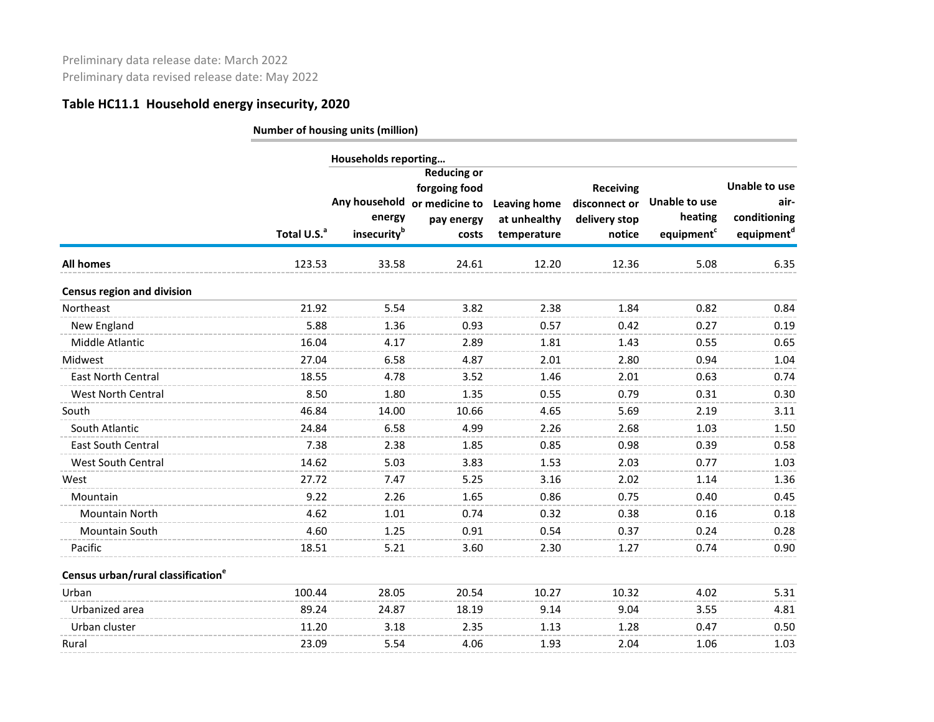|                                                |                         | Households reporting  |                              |                             |                         |                          |                                        |
|------------------------------------------------|-------------------------|-----------------------|------------------------------|-----------------------------|-------------------------|--------------------------|----------------------------------------|
|                                                |                         |                       | <b>Reducing or</b>           |                             |                         |                          |                                        |
|                                                |                         |                       | forgoing food                |                             | <b>Receiving</b>        |                          | <b>Unable to use</b>                   |
|                                                |                         |                       | Any household or medicine to | <b>Leaving home</b>         | disconnect or           | Unable to use<br>heating | air-                                   |
|                                                | Total U.S. <sup>a</sup> | energy<br>insecurityb | pay energy<br>costs          | at unhealthy<br>temperature | delivery stop<br>notice | equipment <sup>c</sup>   | conditioning<br>equipment <sup>d</sup> |
|                                                |                         |                       |                              |                             |                         |                          |                                        |
| <b>All homes</b>                               | 123.53                  | 33.58                 | 24.61                        | 12.20                       | 12.36                   | 5.08                     | 6.35                                   |
| <b>Census region and division</b>              |                         |                       |                              |                             |                         |                          |                                        |
| Northeast                                      | 21.92                   | 5.54                  | 3.82                         | 2.38                        | 1.84                    | 0.82                     | 0.84                                   |
| New England                                    | 5.88                    | 1.36                  | 0.93                         | 0.57                        | 0.42                    | 0.27                     | 0.19                                   |
| Middle Atlantic                                | 16.04                   | 4.17                  | 2.89                         | 1.81                        | 1.43                    | 0.55                     | 0.65                                   |
| Midwest                                        | 27.04                   | 6.58                  | 4.87                         | 2.01                        | 2.80                    | 0.94                     | 1.04                                   |
| <b>East North Central</b>                      | 18.55                   | 4.78                  | 3.52                         | 1.46                        | 2.01                    | 0.63                     | 0.74                                   |
| <b>West North Central</b>                      | 8.50                    | 1.80                  | 1.35                         | 0.55                        | 0.79                    | 0.31                     | 0.30                                   |
| South                                          | 46.84                   | 14.00                 | 10.66                        | 4.65                        | 5.69                    | 2.19                     | 3.11                                   |
| South Atlantic                                 | 24.84                   | 6.58                  | 4.99                         | 2.26                        | 2.68                    | 1.03                     | 1.50                                   |
| <b>East South Central</b>                      | 7.38                    | 2.38                  | 1.85                         | 0.85                        | 0.98                    | 0.39                     | 0.58                                   |
| West South Central                             | 14.62                   | 5.03                  | 3.83                         | 1.53                        | 2.03                    | 0.77                     | 1.03                                   |
| West                                           | 27.72                   | 7.47                  | 5.25                         | 3.16                        | 2.02                    | 1.14                     | 1.36                                   |
| Mountain                                       | 9.22                    | 2.26                  | 1.65                         | 0.86                        | 0.75                    | 0.40                     | 0.45                                   |
| <b>Mountain North</b>                          | 4.62                    | 1.01                  | 0.74                         | 0.32                        | 0.38                    | 0.16                     | 0.18                                   |
| <b>Mountain South</b>                          | 4.60                    | 1.25                  | 0.91                         | 0.54                        | 0.37                    | 0.24                     | 0.28                                   |
| Pacific                                        | 18.51                   | 5.21                  | 3.60                         | 2.30                        | 1.27                    | 0.74                     | 0.90                                   |
| Census urban/rural classification <sup>e</sup> |                         |                       |                              |                             |                         |                          |                                        |
| Urban                                          | 100.44                  | 28.05                 | 20.54                        | 10.27                       | 10.32                   | 4.02                     | 5.31                                   |
| Urbanized area                                 | 89.24                   | 24.87                 | 18.19                        | 9.14                        | 9.04                    | 3.55                     | 4.81                                   |
| Urban cluster                                  | 11.20                   | 3.18                  | 2.35                         | 1.13                        | 1.28                    | 0.47                     | 0.50                                   |
| Rural                                          | 23.09                   | 5.54                  | 4.06                         | 1.93                        | 2.04                    | 1.06                     | 1.03                                   |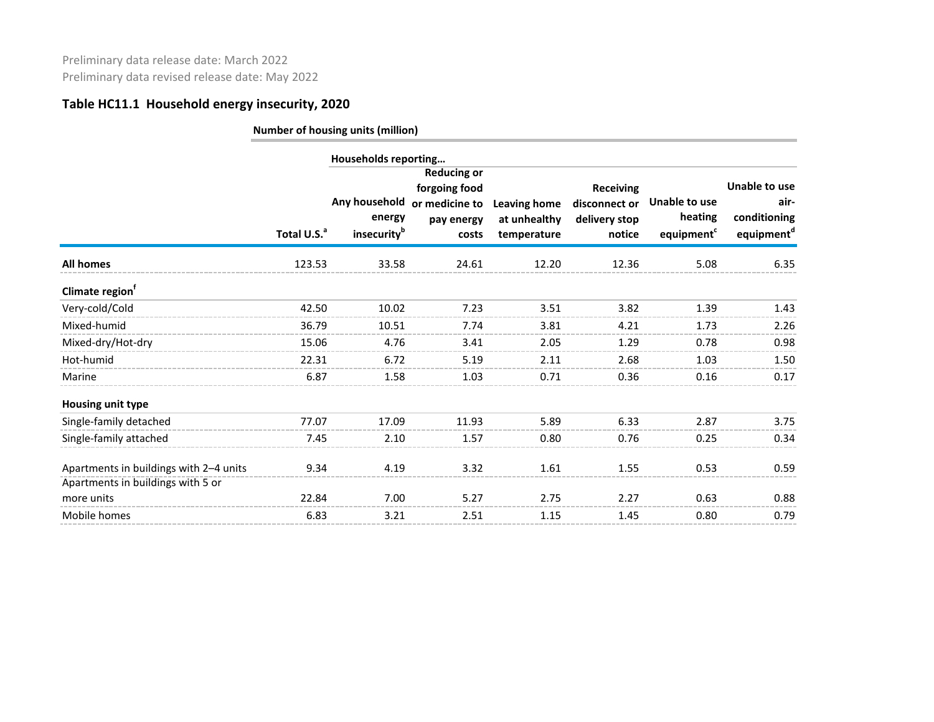|                                        | Total U.S. <sup>a</sup> | Households reporting<br>energy<br>insecurity <sup>b</sup> | <b>Reducing or</b><br>forgoing food<br>Any household or medicine to<br>pay energy<br>costs | <b>Leaving home</b><br>at unhealthy<br>temperature | <b>Receiving</b><br>disconnect or<br>delivery stop<br>notice | Unable to use<br>heating<br>equipment <sup>c</sup> | Unable to use<br>air-<br>conditioning<br>equipment <sup>d</sup> |
|----------------------------------------|-------------------------|-----------------------------------------------------------|--------------------------------------------------------------------------------------------|----------------------------------------------------|--------------------------------------------------------------|----------------------------------------------------|-----------------------------------------------------------------|
| <b>All homes</b>                       | 123.53                  | 33.58                                                     | 24.61                                                                                      | 12.20                                              | 12.36                                                        | 5.08                                               | 6.35                                                            |
| Climate region <sup>1</sup>            |                         |                                                           |                                                                                            |                                                    |                                                              |                                                    |                                                                 |
| Very-cold/Cold                         | 42.50                   | 10.02                                                     | 7.23                                                                                       | 3.51                                               | 3.82                                                         | 1.39                                               | 1.43                                                            |
| Mixed-humid                            | 36.79                   | 10.51                                                     | 7.74                                                                                       | 3.81                                               | 4.21                                                         | 1.73                                               | 2.26                                                            |
| Mixed-dry/Hot-dry                      | 15.06                   | 4.76                                                      | 3.41                                                                                       | 2.05                                               | 1.29                                                         | 0.78                                               | 0.98                                                            |
| Hot-humid                              | 22.31                   | 6.72                                                      | 5.19                                                                                       | 2.11                                               | 2.68                                                         | 1.03                                               | 1.50                                                            |
| Marine                                 | 6.87                    | 1.58                                                      | 1.03                                                                                       | 0.71                                               | 0.36                                                         | 0.16                                               | 0.17                                                            |
| Housing unit type                      |                         |                                                           |                                                                                            |                                                    |                                                              |                                                    |                                                                 |
| Single-family detached                 | 77.07                   | 17.09                                                     | 11.93                                                                                      | 5.89                                               | 6.33                                                         | 2.87                                               | 3.75                                                            |
| Single-family attached                 | 7.45                    | 2.10                                                      | 1.57                                                                                       | 0.80                                               | 0.76                                                         | 0.25                                               | 0.34                                                            |
| Apartments in buildings with 2-4 units | 9.34                    | 4.19                                                      | 3.32                                                                                       | 1.61                                               | 1.55                                                         | 0.53                                               | 0.59                                                            |
| Apartments in buildings with 5 or      |                         |                                                           |                                                                                            |                                                    |                                                              |                                                    |                                                                 |
| more units                             | 22.84                   | 7.00                                                      | 5.27                                                                                       | 2.75                                               | 2.27                                                         | 0.63                                               | 0.88                                                            |
| Mobile homes                           | 6.83                    | 3.21                                                      | 2.51                                                                                       | 1.15                                               | 1.45                                                         | 0.80                                               | 0.79                                                            |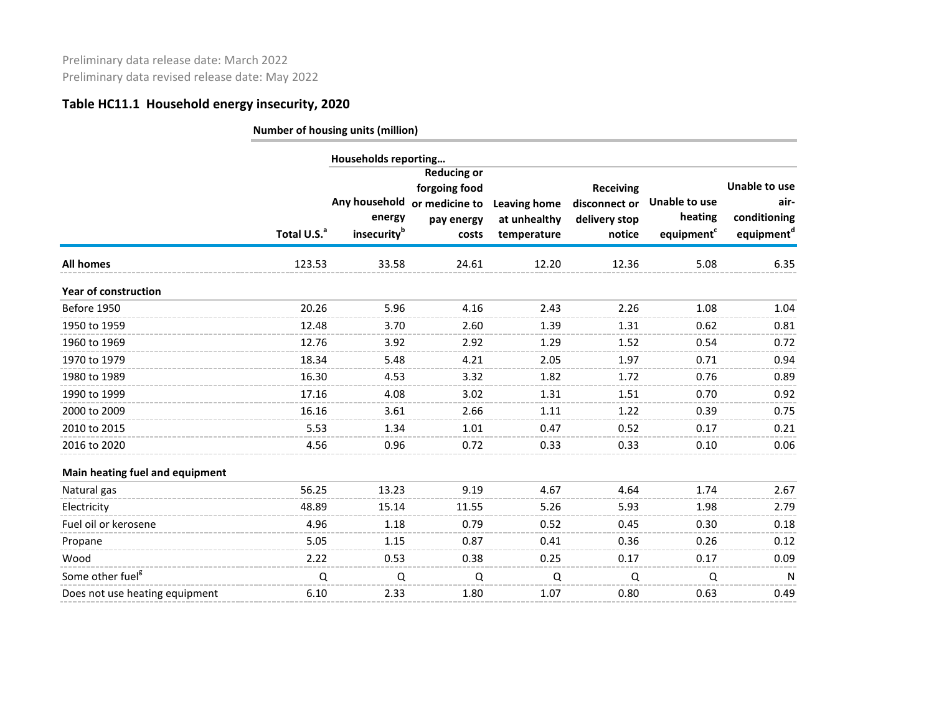| energy<br>insecurity <sup>b</sup> | <b>Reducing or</b><br>forgoing food<br>pay energy<br>costs                                                                                                              | <b>Leaving home</b><br>at unhealthy<br>temperature   | <b>Receiving</b><br>disconnect or<br>delivery stop<br>notice | Unable to use<br>heating<br>equipment <sup>c</sup> | <b>Unable to use</b><br>air-<br>conditioning<br>equipment <sup>d</sup> |
|-----------------------------------|-------------------------------------------------------------------------------------------------------------------------------------------------------------------------|------------------------------------------------------|--------------------------------------------------------------|----------------------------------------------------|------------------------------------------------------------------------|
| 33.58                             | 24.61                                                                                                                                                                   | 12.20                                                | 12.36                                                        | 5.08                                               | 6.35                                                                   |
|                                   |                                                                                                                                                                         |                                                      |                                                              |                                                    |                                                                        |
| 5.96                              | 4.16                                                                                                                                                                    | 2.43                                                 | 2.26                                                         | 1.08                                               | 1.04                                                                   |
| 3.70                              | 2.60                                                                                                                                                                    | 1.39                                                 | 1.31                                                         | 0.62                                               | 0.81                                                                   |
| 3.92                              | 2.92                                                                                                                                                                    | 1.29                                                 | 1.52                                                         | 0.54                                               | 0.72                                                                   |
| 5.48                              | 4.21                                                                                                                                                                    | 2.05                                                 | 1.97                                                         | 0.71                                               | 0.94                                                                   |
| 4.53                              | 3.32                                                                                                                                                                    | 1.82                                                 | 1.72                                                         | 0.76                                               | 0.89                                                                   |
| 4.08                              | 3.02                                                                                                                                                                    | 1.31                                                 | 1.51                                                         | 0.70                                               | 0.92                                                                   |
| 3.61                              | 2.66                                                                                                                                                                    | 1.11                                                 | 1.22                                                         | 0.39                                               | 0.75                                                                   |
| 1.34                              | 1.01                                                                                                                                                                    | 0.47                                                 | 0.52                                                         | 0.17                                               | 0.21                                                                   |
| 0.96                              | 0.72                                                                                                                                                                    | 0.33                                                 | 0.33                                                         | 0.10                                               | 0.06                                                                   |
|                                   |                                                                                                                                                                         |                                                      |                                                              |                                                    |                                                                        |
| 13.23                             | 9.19                                                                                                                                                                    | 4.67                                                 | 4.64                                                         | 1.74                                               | 2.67                                                                   |
| 15.14                             | 11.55                                                                                                                                                                   | 5.26                                                 | 5.93                                                         | 1.98                                               | 2.79                                                                   |
| 1.18                              | 0.79                                                                                                                                                                    | 0.52                                                 | 0.45                                                         | 0.30                                               | 0.18                                                                   |
| 1.15                              | 0.87                                                                                                                                                                    | 0.41                                                 | 0.36                                                         | 0.26                                               | 0.12                                                                   |
| 0.53                              | 0.38                                                                                                                                                                    | 0.25                                                 | 0.17                                                         | 0.17                                               | 0.09                                                                   |
| Q                                 | Q                                                                                                                                                                       | Q                                                    | Q                                                            | Q                                                  | N                                                                      |
| 2.33                              | 1.80                                                                                                                                                                    | 1.07                                                 | 0.80                                                         | 0.63                                               | 0.49                                                                   |
|                                   | Total U.S. <sup>a</sup><br>123.53<br>20.26<br>12.48<br>12.76<br>18.34<br>16.30<br>17.16<br>16.16<br>5.53<br>4.56<br>56.25<br>48.89<br>4.96<br>5.05<br>2.22<br>Q<br>6.10 | Households reporting<br>Any household or medicine to |                                                              |                                                    |                                                                        |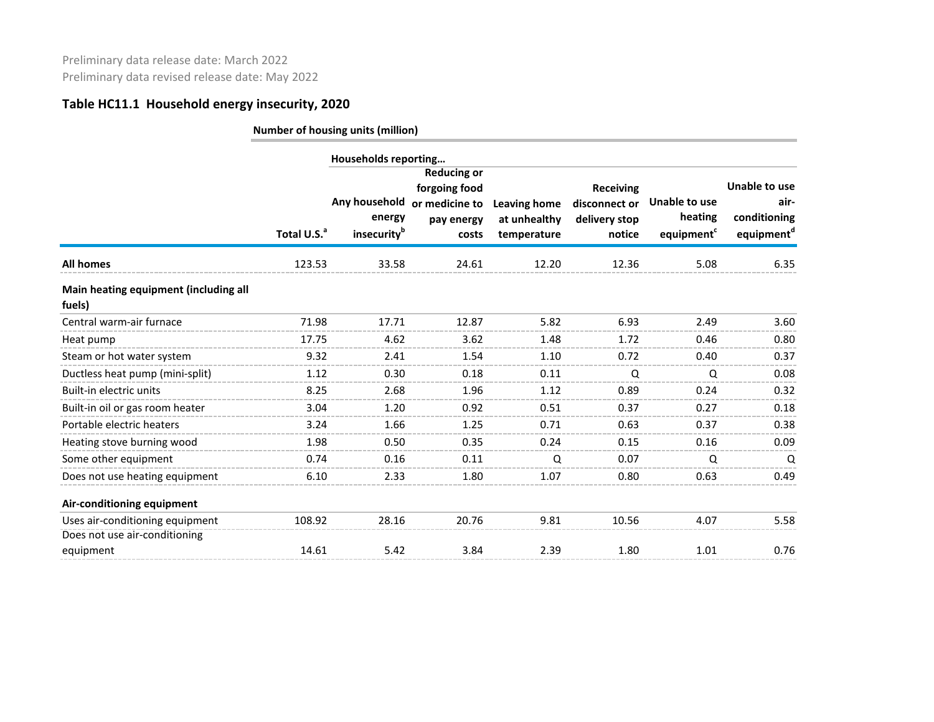|                                                                  |                         | Households reporting                               |                                                                              |                                                    |                                                              |                                                    |                                                                 |
|------------------------------------------------------------------|-------------------------|----------------------------------------------------|------------------------------------------------------------------------------|----------------------------------------------------|--------------------------------------------------------------|----------------------------------------------------|-----------------------------------------------------------------|
|                                                                  | Total U.S. <sup>a</sup> | Any household<br>energy<br>insecurity <sup>b</sup> | <b>Reducing or</b><br>forgoing food<br>or medicine to<br>pay energy<br>costs | <b>Leaving home</b><br>at unhealthy<br>temperature | <b>Receiving</b><br>disconnect or<br>delivery stop<br>notice | Unable to use<br>heating<br>equipment <sup>c</sup> | Unable to use<br>air-<br>conditioning<br>equipment <sup>d</sup> |
| <b>All homes</b>                                                 | 123.53                  | 33.58                                              | 24.61                                                                        | 12.20                                              | 12.36                                                        | 5.08                                               | 6.35                                                            |
| Main heating equipment (including all<br>fuels)                  |                         |                                                    |                                                                              |                                                    |                                                              |                                                    |                                                                 |
| Central warm-air furnace                                         | 71.98                   | 17.71                                              | 12.87                                                                        | 5.82                                               | 6.93                                                         | 2.49                                               | 3.60                                                            |
| Heat pump                                                        | 17.75                   | 4.62                                               | 3.62                                                                         | 1.48                                               | 1.72                                                         | 0.46                                               | 0.80                                                            |
| Steam or hot water system                                        | 9.32                    | 2.41                                               | 1.54                                                                         | 1.10                                               | 0.72                                                         | 0.40                                               | 0.37                                                            |
| Ductless heat pump (mini-split)                                  | 1.12                    | 0.30                                               | 0.18                                                                         | 0.11                                               | Q                                                            | Q                                                  | 0.08                                                            |
| Built-in electric units                                          | 8.25                    | 2.68                                               | 1.96                                                                         | 1.12                                               | 0.89                                                         | 0.24                                               | 0.32                                                            |
| Built-in oil or gas room heater                                  | 3.04                    | 1.20                                               | 0.92                                                                         | 0.51                                               | 0.37                                                         | 0.27                                               | 0.18                                                            |
| Portable electric heaters                                        | 3.24                    | 1.66                                               | 1.25                                                                         | 0.71                                               | 0.63                                                         | 0.37                                               | 0.38                                                            |
| Heating stove burning wood                                       | 1.98                    | 0.50                                               | 0.35                                                                         | 0.24                                               | 0.15                                                         | 0.16                                               | 0.09                                                            |
| Some other equipment                                             | 0.74                    | 0.16                                               | 0.11                                                                         | Q                                                  | 0.07                                                         | Q                                                  | Q                                                               |
| Does not use heating equipment                                   | 6.10                    | 2.33                                               | 1.80                                                                         | 1.07                                               | 0.80                                                         | 0.63                                               | 0.49                                                            |
| Air-conditioning equipment                                       |                         |                                                    |                                                                              |                                                    |                                                              |                                                    |                                                                 |
| Uses air-conditioning equipment<br>Does not use air-conditioning | 108.92                  | 28.16                                              | 20.76                                                                        | 9.81                                               | 10.56                                                        | 4.07                                               | 5.58                                                            |
| equipment                                                        | 14.61                   | 5.42                                               | 3.84                                                                         | 2.39                                               | 1.80                                                         | 1.01                                               | 0.76                                                            |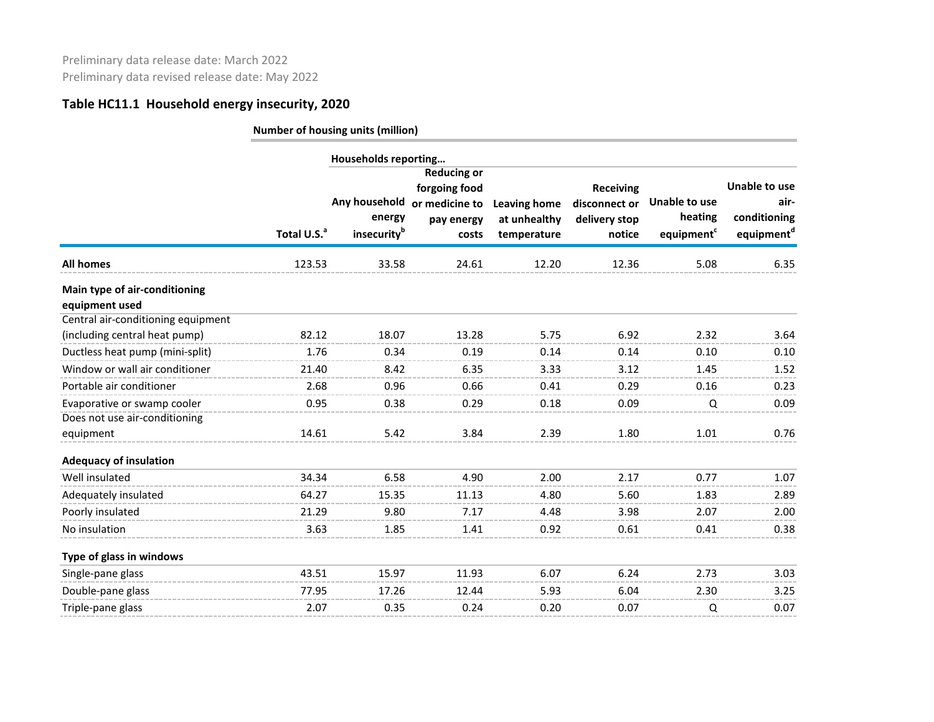| <b>Number of housing units (million)</b> |  |  |  |  |
|------------------------------------------|--|--|--|--|
|------------------------------------------|--|--|--|--|

|                                                                     |                         | Households reporting                                              |                                                            |                                                    |                                                              |                                                           |                                                                        |
|---------------------------------------------------------------------|-------------------------|-------------------------------------------------------------------|------------------------------------------------------------|----------------------------------------------------|--------------------------------------------------------------|-----------------------------------------------------------|------------------------------------------------------------------------|
|                                                                     | Total U.S. <sup>a</sup> | Any household or medicine to<br>energy<br>insecurity <sup>b</sup> | <b>Reducing or</b><br>forgoing food<br>pay energy<br>costs | <b>Leaving home</b><br>at unhealthy<br>temperature | <b>Receiving</b><br>disconnect or<br>delivery stop<br>notice | <b>Unable to use</b><br>heating<br>equipment <sup>c</sup> | <b>Unable to use</b><br>air-<br>conditioning<br>equipment <sup>d</sup> |
| All homes                                                           | 123.53                  | 33.58                                                             | 24.61                                                      | 12.20                                              | 12.36                                                        | 5.08                                                      | 6.35                                                                   |
| Main type of air-conditioning<br>equipment used                     |                         |                                                                   |                                                            |                                                    |                                                              |                                                           |                                                                        |
| Central air-conditioning equipment<br>(including central heat pump) | 82.12                   | 18.07                                                             | 13.28                                                      | 5.75                                               | 6.92                                                         | 2.32                                                      | 3.64                                                                   |
| Ductless heat pump (mini-split)                                     | 1.76                    | 0.34                                                              | 0.19                                                       | 0.14                                               | 0.14                                                         | 0.10                                                      | 0.10                                                                   |
| Window or wall air conditioner                                      | 21.40                   | 8.42                                                              | 6.35                                                       | 3.33                                               | 3.12                                                         | 1.45                                                      | 1.52                                                                   |
| Portable air conditioner                                            | 2.68                    | 0.96                                                              | 0.66                                                       | 0.41                                               | 0.29                                                         | 0.16                                                      | 0.23                                                                   |
| Evaporative or swamp cooler                                         | 0.95                    | 0.38                                                              | 0.29                                                       | 0.18                                               | 0.09                                                         | Q                                                         | 0.09                                                                   |
| Does not use air-conditioning                                       |                         |                                                                   |                                                            |                                                    |                                                              |                                                           |                                                                        |
| equipment                                                           | 14.61                   | 5.42                                                              | 3.84                                                       | 2.39                                               | 1.80                                                         | 1.01                                                      | 0.76                                                                   |
| <b>Adequacy of insulation</b>                                       |                         |                                                                   |                                                            |                                                    |                                                              |                                                           |                                                                        |
| Well insulated                                                      | 34.34                   | 6.58                                                              | 4.90                                                       | 2.00                                               | 2.17                                                         | 0.77                                                      | 1.07                                                                   |
| Adequately insulated                                                | 64.27                   | 15.35                                                             | 11.13                                                      | 4.80                                               | 5.60                                                         | 1.83                                                      | 2.89                                                                   |
| Poorly insulated                                                    | 21.29                   | 9.80                                                              | 7.17                                                       | 4.48                                               | 3.98                                                         | 2.07                                                      | 2.00                                                                   |
| No insulation                                                       | 3.63                    | 1.85                                                              | 1.41                                                       | 0.92                                               | 0.61                                                         | 0.41                                                      | 0.38                                                                   |
| Type of glass in windows                                            |                         |                                                                   |                                                            |                                                    |                                                              |                                                           |                                                                        |
| Single-pane glass                                                   | 43.51                   | 15.97                                                             | 11.93                                                      | 6.07                                               | 6.24                                                         | 2.73                                                      | 3.03                                                                   |
| Double-pane glass                                                   | 77.95                   | 17.26                                                             | 12.44                                                      | 5.93                                               | 6.04                                                         | 2.30                                                      | 3.25                                                                   |
| Triple-pane glass                                                   | 2.07                    | 0.35                                                              | 0.24                                                       | 0.20                                               | 0.07                                                         | Q                                                         | 0.07                                                                   |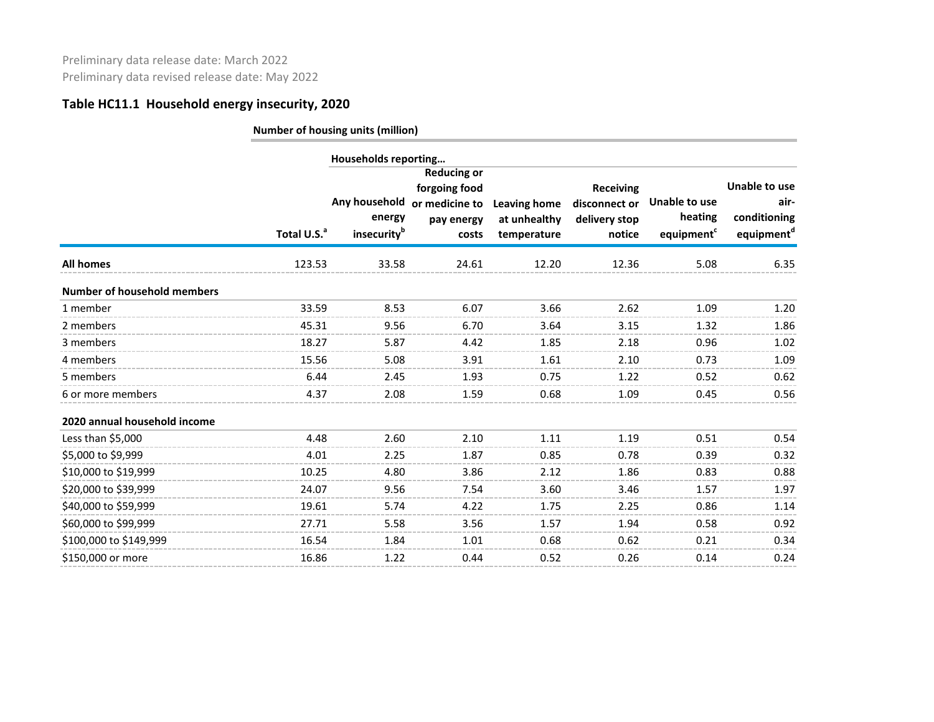|                                    |                         | Households reporting              | <b>Reducing or</b>                                                   |                                                    |                                                              |                                                    |                                                                 |
|------------------------------------|-------------------------|-----------------------------------|----------------------------------------------------------------------|----------------------------------------------------|--------------------------------------------------------------|----------------------------------------------------|-----------------------------------------------------------------|
|                                    | Total U.S. <sup>a</sup> | energy<br>insecurity <sup>b</sup> | forgoing food<br>Any household or medicine to<br>pay energy<br>costs | <b>Leaving home</b><br>at unhealthy<br>temperature | <b>Receiving</b><br>disconnect or<br>delivery stop<br>notice | Unable to use<br>heating<br>equipment <sup>c</sup> | Unable to use<br>air-<br>conditioning<br>equipment <sup>d</sup> |
| <b>All homes</b>                   | 123.53                  | 33.58                             | 24.61                                                                | 12.20                                              | 12.36                                                        | 5.08                                               | 6.35                                                            |
| <b>Number of household members</b> |                         |                                   |                                                                      |                                                    |                                                              |                                                    |                                                                 |
| 1 member                           | 33.59                   | 8.53                              | 6.07                                                                 | 3.66                                               | 2.62                                                         | 1.09                                               | 1.20                                                            |
| 2 members                          | 45.31                   | 9.56                              | 6.70                                                                 | 3.64                                               | 3.15                                                         | 1.32                                               | 1.86                                                            |
| 3 members                          | 18.27                   | 5.87                              | 4.42                                                                 | 1.85                                               | 2.18                                                         | 0.96                                               | 1.02                                                            |
| 4 members                          | 15.56                   | 5.08                              | 3.91                                                                 | 1.61                                               | 2.10                                                         | 0.73                                               | 1.09                                                            |
| 5 members                          | 6.44                    | 2.45                              | 1.93                                                                 | 0.75                                               | 1.22                                                         | 0.52                                               | 0.62                                                            |
| 6 or more members                  | 4.37                    | 2.08                              | 1.59                                                                 | 0.68                                               | 1.09                                                         | 0.45                                               | 0.56                                                            |
| 2020 annual household income       |                         |                                   |                                                                      |                                                    |                                                              |                                                    |                                                                 |
| Less than \$5,000                  | 4.48                    | 2.60                              | 2.10                                                                 | 1.11                                               | 1.19                                                         | 0.51                                               | 0.54                                                            |
| \$5,000 to \$9,999                 | 4.01                    | 2.25                              | 1.87                                                                 | 0.85                                               | 0.78                                                         | 0.39                                               | 0.32                                                            |
| \$10,000 to \$19,999               | 10.25                   | 4.80                              | 3.86                                                                 | 2.12                                               | 1.86                                                         | 0.83                                               | 0.88                                                            |
| \$20,000 to \$39,999               | 24.07                   | 9.56                              | 7.54                                                                 | 3.60                                               | 3.46                                                         | 1.57                                               | 1.97                                                            |
| \$40,000 to \$59,999               | 19.61                   | 5.74                              | 4.22                                                                 | 1.75                                               | 2.25                                                         | 0.86                                               | 1.14                                                            |
| \$60,000 to \$99,999               | 27.71                   | 5.58                              | 3.56                                                                 | 1.57                                               | 1.94                                                         | 0.58                                               | 0.92                                                            |
| \$100,000 to \$149,999             | 16.54                   | 1.84                              | 1.01                                                                 | 0.68                                               | 0.62                                                         | 0.21                                               | 0.34                                                            |
| \$150,000 or more                  | 16.86                   | 1.22                              | 0.44                                                                 | 0.52                                               | 0.26                                                         | 0.14                                               | 0.24                                                            |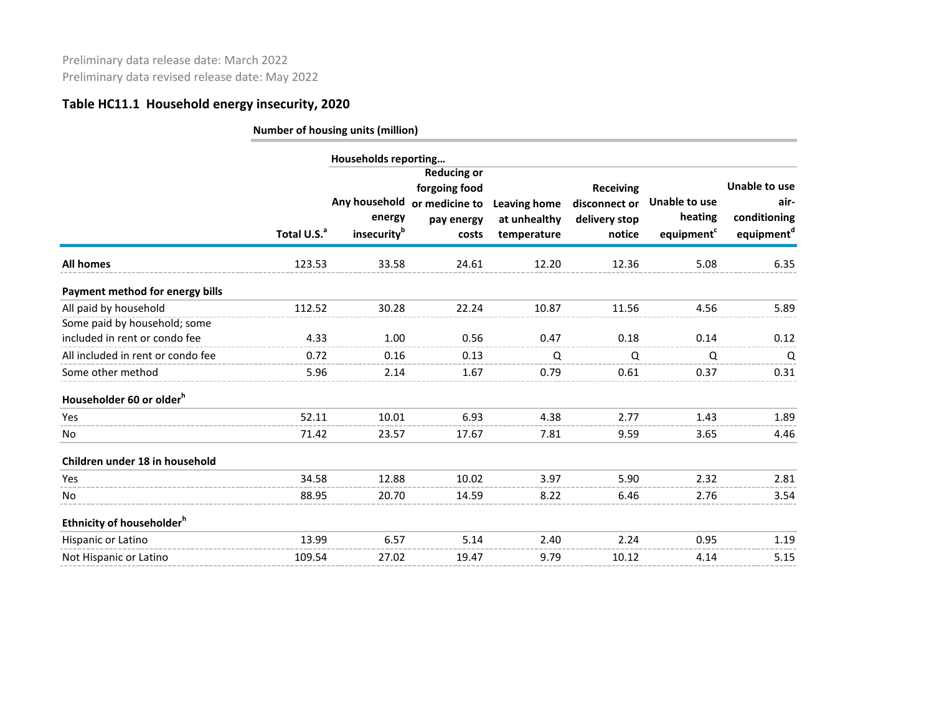|       | energy<br>insecurity <sup>b</sup> | forgoing food<br>pay energy<br>costs                                                                      | <b>Leaving home</b><br>at unhealthy<br>temperature                         | <b>Receiving</b><br>disconnect or<br>delivery stop<br>notice | Unable to use<br>heating<br>equipment <sup>c</sup> | Unable to use<br>air-<br>conditioning<br>equipment <sup>d</sup> |
|-------|-----------------------------------|-----------------------------------------------------------------------------------------------------------|----------------------------------------------------------------------------|--------------------------------------------------------------|----------------------------------------------------|-----------------------------------------------------------------|
|       | 33.58                             | 24.61                                                                                                     | 12.20                                                                      | 12.36                                                        | 5.08                                               | 6.35                                                            |
|       |                                   |                                                                                                           |                                                                            |                                                              |                                                    |                                                                 |
|       | 30.28                             | 22.24                                                                                                     | 10.87                                                                      | 11.56                                                        | 4.56                                               | 5.89                                                            |
|       |                                   |                                                                                                           |                                                                            |                                                              |                                                    |                                                                 |
|       | 1.00                              | 0.56                                                                                                      | 0.47                                                                       | 0.18                                                         | 0.14                                               | 0.12                                                            |
| 0.72  | 0.16                              | 0.13                                                                                                      | Q                                                                          | Q                                                            | Q                                                  | Q                                                               |
|       | 2.14                              | 1.67                                                                                                      | 0.79                                                                       | 0.61                                                         | 0.37                                               | 0.31                                                            |
|       |                                   |                                                                                                           |                                                                            |                                                              |                                                    |                                                                 |
| 52.11 | 10.01                             | 6.93                                                                                                      | 4.38                                                                       | 2.77                                                         | 1.43                                               | 1.89                                                            |
|       | 23.57                             | 17.67                                                                                                     | 7.81                                                                       | 9.59                                                         | 3.65                                               | 4.46                                                            |
|       |                                   |                                                                                                           |                                                                            |                                                              |                                                    |                                                                 |
|       | 12.88                             | 10.02                                                                                                     | 3.97                                                                       | 5.90                                                         | 2.32                                               | 2.81                                                            |
|       | 20.70                             | 14.59                                                                                                     | 8.22                                                                       | 6.46                                                         | 2.76                                               | 3.54                                                            |
|       |                                   |                                                                                                           |                                                                            |                                                              |                                                    |                                                                 |
|       | 6.57                              | 5.14                                                                                                      | 2.40                                                                       | 2.24                                                         | 0.95                                               | 1.19                                                            |
|       | 27.02                             | 19.47                                                                                                     | 9.79                                                                       | 10.12                                                        | 4.14                                               | 5.15                                                            |
|       |                                   | Total U.S. <sup>a</sup><br>123.53<br>112.52<br>4.33<br>5.96<br>71.42<br>34.58<br>88.95<br>13.99<br>109.54 | Households reporting<br><b>Reducing or</b><br>Any household or medicine to |                                                              |                                                    |                                                                 |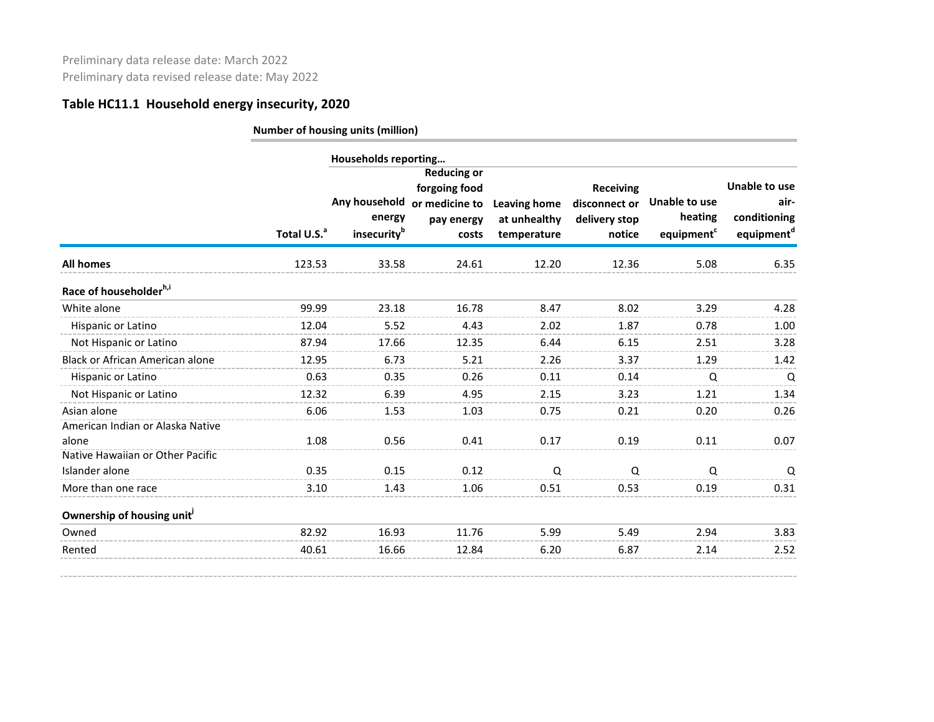|                                        |                         | Households reporting              |                                                                                            |                                                    |                                                              |                                                    |                                                                 |
|----------------------------------------|-------------------------|-----------------------------------|--------------------------------------------------------------------------------------------|----------------------------------------------------|--------------------------------------------------------------|----------------------------------------------------|-----------------------------------------------------------------|
|                                        | Total U.S. <sup>a</sup> | energy<br>insecurity <sup>b</sup> | <b>Reducing or</b><br>forgoing food<br>Any household or medicine to<br>pay energy<br>costs | <b>Leaving home</b><br>at unhealthy<br>temperature | <b>Receiving</b><br>disconnect or<br>delivery stop<br>notice | Unable to use<br>heating<br>equipment <sup>c</sup> | Unable to use<br>air-<br>conditioning<br>equipment <sup>d</sup> |
| <b>All homes</b>                       | 123.53                  | 33.58                             | 24.61                                                                                      | 12.20                                              | 12.36                                                        | 5.08                                               | 6.35                                                            |
| Race of householder <sup>h,i</sup>     |                         |                                   |                                                                                            |                                                    |                                                              |                                                    |                                                                 |
| White alone                            | 99.99                   | 23.18                             | 16.78                                                                                      | 8.47                                               | 8.02                                                         | 3.29                                               | 4.28                                                            |
| Hispanic or Latino                     | 12.04                   | 5.52                              | 4.43                                                                                       | 2.02                                               | 1.87                                                         | 0.78                                               | 1.00                                                            |
| Not Hispanic or Latino                 | 87.94                   | 17.66                             | 12.35                                                                                      | 6.44                                               | 6.15                                                         | 2.51                                               | 3.28                                                            |
| Black or African American alone        | 12.95                   | 6.73                              | 5.21                                                                                       | 2.26                                               | 3.37                                                         | 1.29                                               | 1.42                                                            |
| Hispanic or Latino                     | 0.63                    | 0.35                              | 0.26                                                                                       | 0.11                                               | 0.14                                                         | Q                                                  | $\mathsf Q$                                                     |
| Not Hispanic or Latino                 | 12.32                   | 6.39                              | 4.95                                                                                       | 2.15                                               | 3.23                                                         | 1.21                                               | 1.34                                                            |
| Asian alone                            | 6.06                    | 1.53                              | 1.03                                                                                       | 0.75                                               | 0.21                                                         | 0.20                                               | 0.26                                                            |
| American Indian or Alaska Native       |                         |                                   |                                                                                            |                                                    |                                                              |                                                    |                                                                 |
| alone                                  | 1.08                    | 0.56                              | 0.41                                                                                       | 0.17                                               | 0.19                                                         | 0.11                                               | 0.07                                                            |
| Native Hawaiian or Other Pacific       |                         |                                   |                                                                                            |                                                    |                                                              |                                                    |                                                                 |
| Islander alone                         | 0.35                    | 0.15                              | 0.12                                                                                       | Q                                                  | Q                                                            | Q                                                  | Q                                                               |
| More than one race                     | 3.10                    | 1.43                              | 1.06                                                                                       | 0.51                                               | 0.53                                                         | 0.19                                               | 0.31                                                            |
| Ownership of housing unit <sup>1</sup> |                         |                                   |                                                                                            |                                                    |                                                              |                                                    |                                                                 |
| Owned                                  | 82.92                   | 16.93                             | 11.76                                                                                      | 5.99                                               | 5.49                                                         | 2.94                                               | 3.83                                                            |
| Rented                                 | 40.61                   | 16.66                             | 12.84                                                                                      | 6.20                                               | 6.87                                                         | 2.14                                               | 2.52                                                            |
|                                        |                         |                                   |                                                                                            |                                                    |                                                              |                                                    |                                                                 |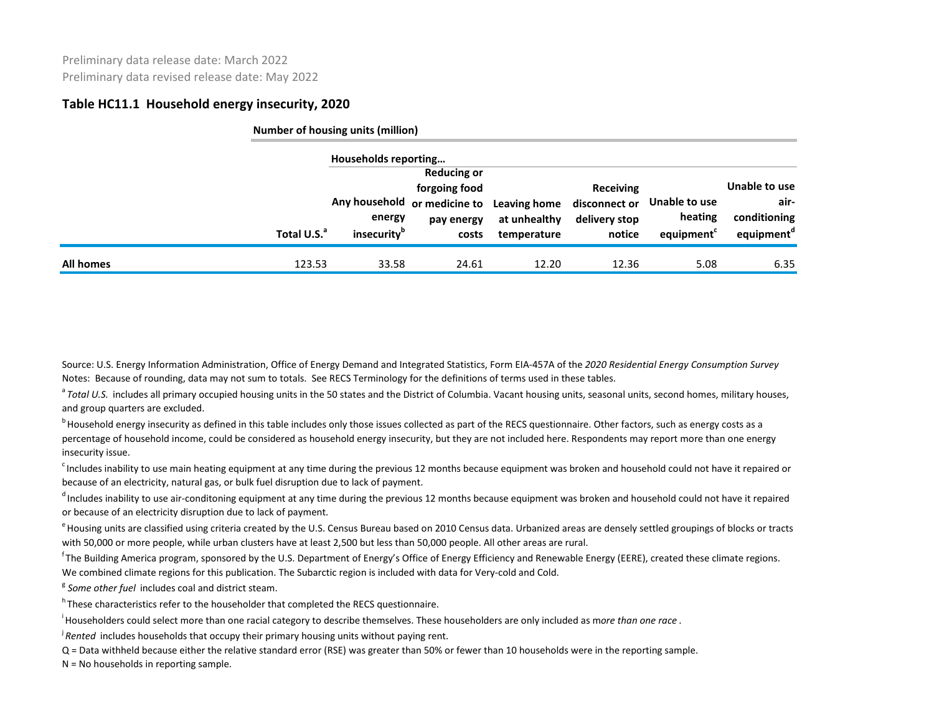|           |                         | Number of housing units (million)                         |                                                                                            |                                             |                                                              |                                       |                                                                 |
|-----------|-------------------------|-----------------------------------------------------------|--------------------------------------------------------------------------------------------|---------------------------------------------|--------------------------------------------------------------|---------------------------------------|-----------------------------------------------------------------|
|           | Total U.S. <sup>a</sup> | Households reporting<br>energy<br>insecurity <sup>b</sup> | <b>Reducing or</b><br>forgoing food<br>Any household or medicine to<br>pay energy<br>costs | Leaving home<br>at unhealthy<br>temperature | <b>Receiving</b><br>disconnect or<br>delivery stop<br>notice | Unable to use<br>heating<br>equipment | Unable to use<br>air-<br>conditioning<br>equipment <sup>d</sup> |
| All homes | 123.53                  | 33.58                                                     | 24.61                                                                                      | 12.20                                       | 12.36                                                        | 5.08                                  | 6.35                                                            |

Source: U.S. Energy Information Administration, Office of Energy Demand and Integrated Statistics, Form EIA-457A of the *2020 Residential Energy Consumption Survey* Notes: Because of rounding, data may not sum to totals. See RECS Terminology for the definitions of terms used in these tables.

<sup>a</sup> Total U.S. includes all primary occupied housing units in the 50 states and the District of Columbia. Vacant housing units, seasonal units, second homes, military houses, and group quarters are excluded.

<sup>b</sup> Household energy insecurity as defined in this table includes only those issues collected as part of the RECS questionnaire. Other factors, such as energy costs as a percentage of household income, could be considered as household energy insecurity, but they are not included here. Respondents may report more than one energy insecurity issue.

<sup>c</sup> Includes inability to use main heating equipment at any time during the previous 12 months because equipment was broken and household could not have it repaired or because of an electricity, natural gas, or bulk fuel disruption due to lack of payment.

<sup>d</sup> Includes inability to use air-conditoning equipment at any time during the previous 12 months because equipment was broken and household could not have it repaired or because of an electricity disruption due to lack of payment.

<sup>e</sup> Housing units are classified using criteria created by the U.S. Census Bureau based on 2010 Census data. Urbanized areas are densely settled groupings of blocks or tracts with 50,000 or more people, while urban clusters have at least 2,500 but less than 50,000 people. All other areas are rural.

<sup>f</sup> The Building America program, sponsored by the U.S. Department of Energy's Office of Energy Efficiency and Renewable Energy (EERE), created these climate regions. We combined climate regions for this publication. The Subarctic region is included with data for Very-cold and Cold.

<sup>g</sup> Some other fuel includes coal and district steam.

h These characteristics refer to the householder that completed the RECS questionnaire.

i Householders could select more than one racial category to describe themselves. These householders are only included as m*ore than one race* .

<sup>j</sup>*Rented* includes households that occupy their primary housing units without paying rent.

Q = Data withheld because either the relative standard error (RSE) was greater than 50% or fewer than 10 households were in the reporting sample.

N = No households in reporting sample.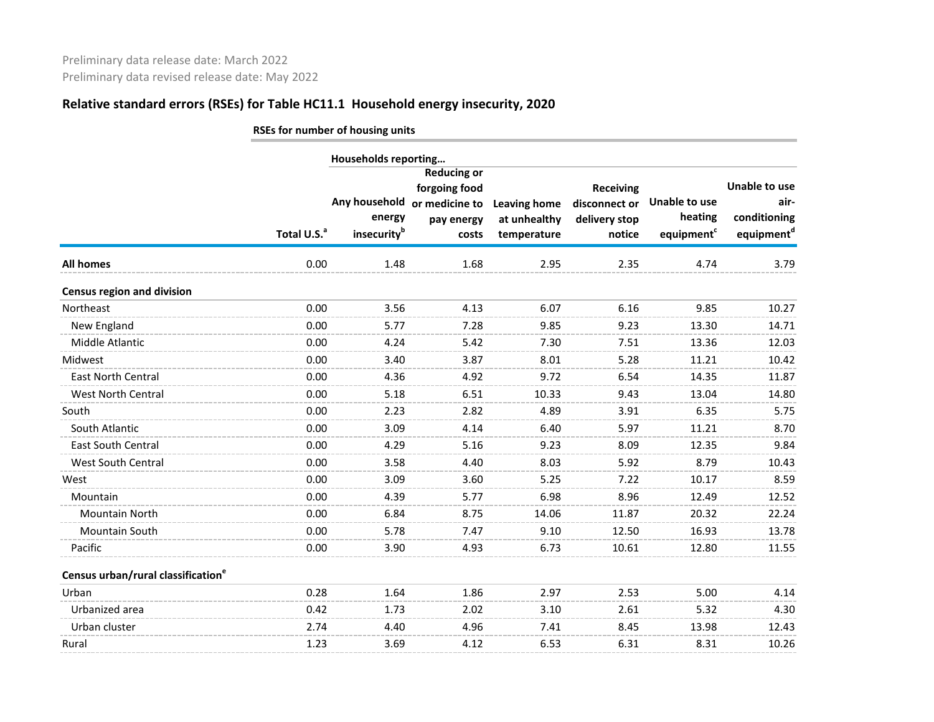|                                                |                         | RSEs for number of housing units |                                                                                            |                                                    |                                                              |                                                    |                                                                        |
|------------------------------------------------|-------------------------|----------------------------------|--------------------------------------------------------------------------------------------|----------------------------------------------------|--------------------------------------------------------------|----------------------------------------------------|------------------------------------------------------------------------|
|                                                |                         | Households reporting             |                                                                                            |                                                    |                                                              |                                                    |                                                                        |
|                                                | Total U.S. <sup>a</sup> | energy<br>insecurityb            | <b>Reducing or</b><br>forgoing food<br>Any household or medicine to<br>pay energy<br>costs | <b>Leaving home</b><br>at unhealthy<br>temperature | <b>Receiving</b><br>disconnect or<br>delivery stop<br>notice | Unable to use<br>heating<br>equipment <sup>c</sup> | <b>Unable to use</b><br>air-<br>conditioning<br>equipment <sup>d</sup> |
| <b>All homes</b>                               | 0.00                    | 1.48                             | 1.68                                                                                       | 2.95                                               | 2.35                                                         | 4.74                                               | 3.79                                                                   |
| <b>Census region and division</b>              |                         |                                  |                                                                                            |                                                    |                                                              |                                                    |                                                                        |
| Northeast                                      | 0.00                    | 3.56                             | 4.13                                                                                       | 6.07                                               | 6.16                                                         | 9.85                                               | 10.27                                                                  |
| New England                                    | 0.00                    | 5.77                             | 7.28                                                                                       | 9.85                                               | 9.23                                                         | 13.30                                              | 14.71                                                                  |
| Middle Atlantic                                | 0.00                    | 4.24                             | 5.42                                                                                       | 7.30                                               | 7.51                                                         | 13.36                                              | 12.03                                                                  |
| Midwest                                        | 0.00                    | 3.40                             | 3.87                                                                                       | 8.01                                               | 5.28                                                         | 11.21                                              | 10.42                                                                  |
| East North Central                             | 0.00                    | 4.36                             | 4.92                                                                                       | 9.72                                               | 6.54                                                         | 14.35                                              | 11.87                                                                  |
| <b>West North Central</b>                      | 0.00                    | 5.18                             | 6.51                                                                                       | 10.33                                              | 9.43                                                         | 13.04                                              | 14.80                                                                  |
| South                                          | 0.00                    | 2.23                             | 2.82                                                                                       | 4.89                                               | 3.91                                                         | 6.35                                               | 5.75                                                                   |
| South Atlantic                                 | 0.00                    | 3.09                             | 4.14                                                                                       | 6.40                                               | 5.97                                                         | 11.21                                              | 8.70                                                                   |
| <b>East South Central</b>                      | 0.00                    | 4.29                             | 5.16                                                                                       | 9.23                                               | 8.09                                                         | 12.35                                              | 9.84                                                                   |
| West South Central                             | 0.00                    | 3.58                             | 4.40                                                                                       | 8.03                                               | 5.92                                                         | 8.79                                               | 10.43                                                                  |
| West                                           | 0.00                    | 3.09                             | 3.60                                                                                       | 5.25                                               | 7.22                                                         | 10.17                                              | 8.59                                                                   |
| Mountain                                       | 0.00                    | 4.39                             | 5.77                                                                                       | 6.98                                               | 8.96                                                         | 12.49                                              | 12.52                                                                  |
| <b>Mountain North</b>                          | 0.00                    | 6.84                             | 8.75                                                                                       | 14.06                                              | 11.87                                                        | 20.32                                              | 22.24                                                                  |
| Mountain South                                 | 0.00                    | 5.78                             | 7.47                                                                                       | 9.10                                               | 12.50                                                        | 16.93                                              | 13.78                                                                  |
| Pacific                                        | 0.00                    | 3.90                             | 4.93                                                                                       | 6.73                                               | 10.61                                                        | 12.80                                              | 11.55                                                                  |
| Census urban/rural classification <sup>e</sup> |                         |                                  |                                                                                            |                                                    |                                                              |                                                    |                                                                        |
| Urban                                          | 0.28                    | 1.64                             | 1.86                                                                                       | 2.97                                               | 2.53                                                         | 5.00                                               | 4.14                                                                   |
| Urbanized area                                 | 0.42                    | 1.73                             | 2.02                                                                                       | 3.10                                               | 2.61                                                         | 5.32                                               | 4.30                                                                   |
| Urban cluster                                  | 2.74                    | 4.40                             | 4.96                                                                                       | 7.41                                               | 8.45                                                         | 13.98                                              | 12.43                                                                  |
| Rural                                          | 1.23                    | 3.69                             | 4.12                                                                                       | 6.53                                               | 6.31                                                         | 8.31                                               | 10.26                                                                  |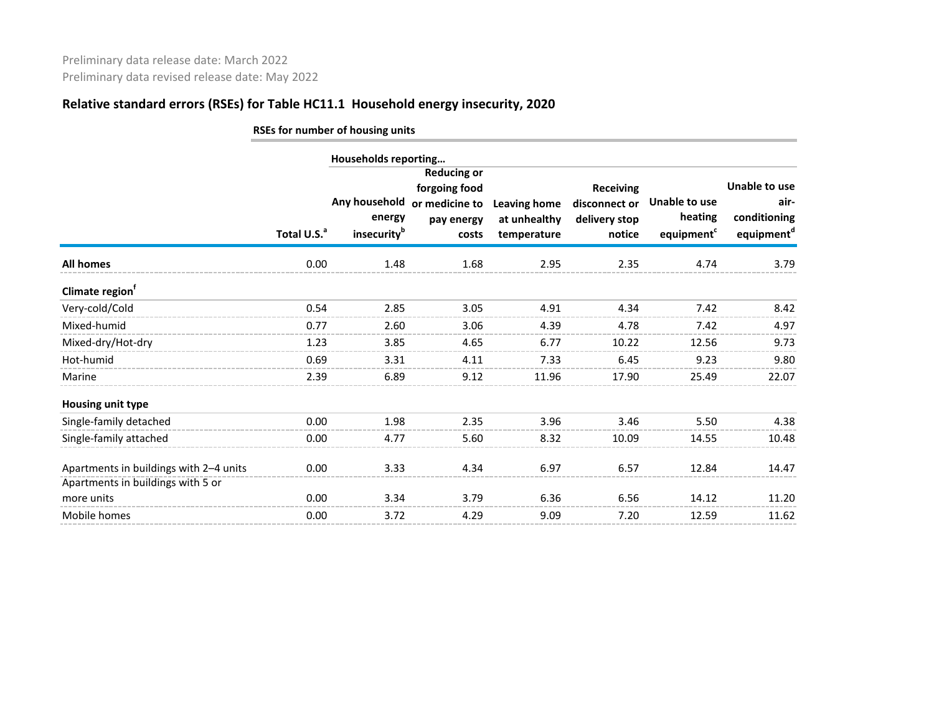|                                                                             | RSEs for number of housing units |                                                    |                                                                              |                                             |                                                              |                                                           |                                                                        |  |  |  |  |  |
|-----------------------------------------------------------------------------|----------------------------------|----------------------------------------------------|------------------------------------------------------------------------------|---------------------------------------------|--------------------------------------------------------------|-----------------------------------------------------------|------------------------------------------------------------------------|--|--|--|--|--|
|                                                                             |                                  | Households reporting                               |                                                                              |                                             |                                                              |                                                           |                                                                        |  |  |  |  |  |
|                                                                             | Total U.S. <sup>a</sup>          | Any household<br>energy<br>insecurity <sup>b</sup> | <b>Reducing or</b><br>forgoing food<br>or medicine to<br>pay energy<br>costs | Leaving home<br>at unhealthy<br>temperature | <b>Receiving</b><br>disconnect or<br>delivery stop<br>notice | <b>Unable to use</b><br>heating<br>equipment <sup>c</sup> | <b>Unable to use</b><br>air-<br>conditioning<br>equipment <sup>d</sup> |  |  |  |  |  |
| All homes                                                                   | 0.00                             | 1.48                                               | 1.68                                                                         | 2.95                                        | 2.35                                                         | 4.74                                                      | 3.79                                                                   |  |  |  |  |  |
| Climate region <sup>†</sup>                                                 |                                  |                                                    |                                                                              |                                             |                                                              |                                                           |                                                                        |  |  |  |  |  |
| Very-cold/Cold                                                              | 0.54                             | 2.85                                               | 3.05                                                                         | 4.91                                        | 4.34                                                         | 7.42                                                      | 8.42                                                                   |  |  |  |  |  |
| Mixed-humid                                                                 | 0.77                             | 2.60                                               | 3.06                                                                         | 4.39                                        | 4.78                                                         | 7.42                                                      | 4.97                                                                   |  |  |  |  |  |
| Mixed-dry/Hot-dry                                                           | 1.23                             | 3.85                                               | 4.65                                                                         | 6.77                                        | 10.22                                                        | 12.56                                                     | 9.73                                                                   |  |  |  |  |  |
| Hot-humid                                                                   | 0.69                             | 3.31                                               | 4.11                                                                         | 7.33                                        | 6.45                                                         | 9.23                                                      | 9.80                                                                   |  |  |  |  |  |
| Marine                                                                      | 2.39                             | 6.89                                               | 9.12                                                                         | 11.96                                       | 17.90                                                        | 25.49                                                     | 22.07                                                                  |  |  |  |  |  |
| <b>Housing unit type</b>                                                    |                                  |                                                    |                                                                              |                                             |                                                              |                                                           |                                                                        |  |  |  |  |  |
| Single-family detached                                                      | 0.00                             | 1.98                                               | 2.35                                                                         | 3.96                                        | 3.46                                                         | 5.50                                                      | 4.38                                                                   |  |  |  |  |  |
| Single-family attached                                                      | 0.00                             | 4.77                                               | 5.60                                                                         | 8.32                                        | 10.09                                                        | 14.55                                                     | 10.48                                                                  |  |  |  |  |  |
| Apartments in buildings with 2-4 units<br>Apartments in buildings with 5 or | 0.00                             | 3.33                                               | 4.34                                                                         | 6.97                                        | 6.57                                                         | 12.84                                                     | 14.47                                                                  |  |  |  |  |  |
| more units                                                                  | 0.00                             | 3.34                                               | 3.79                                                                         | 6.36                                        | 6.56                                                         | 14.12                                                     | 11.20                                                                  |  |  |  |  |  |
| Mobile homes                                                                | 0.00                             | 3.72                                               | 4.29                                                                         | 9.09                                        | 7.20                                                         | 12.59                                                     | 11.62                                                                  |  |  |  |  |  |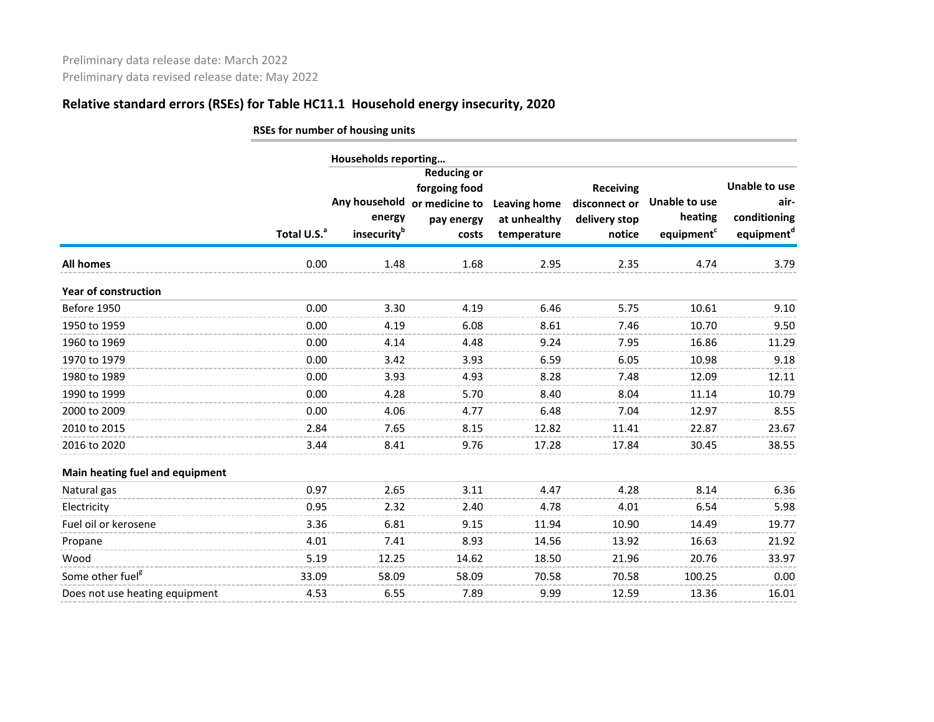|                                 | RSEs for number of housing units |                                                    |                                                                              |                                                    |                                                              |                                                    |                                                                        |  |  |  |  |
|---------------------------------|----------------------------------|----------------------------------------------------|------------------------------------------------------------------------------|----------------------------------------------------|--------------------------------------------------------------|----------------------------------------------------|------------------------------------------------------------------------|--|--|--|--|
|                                 |                                  | Households reporting                               |                                                                              |                                                    |                                                              |                                                    |                                                                        |  |  |  |  |
|                                 | Total U.S. <sup>a</sup>          | Any household<br>energy<br>insecurity <sup>b</sup> | <b>Reducing or</b><br>forgoing food<br>or medicine to<br>pay energy<br>costs | <b>Leaving home</b><br>at unhealthy<br>temperature | <b>Receiving</b><br>disconnect or<br>delivery stop<br>notice | Unable to use<br>heating<br>equipment <sup>c</sup> | <b>Unable to use</b><br>air-<br>conditioning<br>equipment <sup>d</sup> |  |  |  |  |
| <b>All homes</b>                | 0.00                             | 1.48                                               | 1.68                                                                         | 2.95                                               | 2.35                                                         | 4.74                                               | 3.79                                                                   |  |  |  |  |
| <b>Year of construction</b>     |                                  |                                                    |                                                                              |                                                    |                                                              |                                                    |                                                                        |  |  |  |  |
| Before 1950                     | 0.00                             | 3.30                                               | 4.19                                                                         | 6.46                                               | 5.75                                                         | 10.61                                              | 9.10                                                                   |  |  |  |  |
| 1950 to 1959                    | 0.00                             | 4.19                                               | 6.08                                                                         | 8.61                                               | 7.46                                                         | 10.70                                              | 9.50                                                                   |  |  |  |  |
| 1960 to 1969                    | 0.00                             | 4.14                                               | 4.48                                                                         | 9.24                                               | 7.95                                                         | 16.86                                              | 11.29                                                                  |  |  |  |  |
| 1970 to 1979                    | 0.00                             | 3.42                                               | 3.93                                                                         | 6.59                                               | 6.05                                                         | 10.98                                              | 9.18                                                                   |  |  |  |  |
| 1980 to 1989                    | 0.00                             | 3.93                                               | 4.93                                                                         | 8.28                                               | 7.48                                                         | 12.09                                              | 12.11                                                                  |  |  |  |  |
| 1990 to 1999                    | 0.00                             | 4.28                                               | 5.70                                                                         | 8.40                                               | 8.04                                                         | 11.14                                              | 10.79                                                                  |  |  |  |  |
| 2000 to 2009                    | 0.00                             | 4.06                                               | 4.77                                                                         | 6.48                                               | 7.04                                                         | 12.97                                              | 8.55                                                                   |  |  |  |  |
| 2010 to 2015                    | 2.84                             | 7.65                                               | 8.15                                                                         | 12.82                                              | 11.41                                                        | 22.87                                              | 23.67                                                                  |  |  |  |  |
| 2016 to 2020                    | 3.44                             | 8.41                                               | 9.76                                                                         | 17.28                                              | 17.84                                                        | 30.45                                              | 38.55                                                                  |  |  |  |  |
| Main heating fuel and equipment |                                  |                                                    |                                                                              |                                                    |                                                              |                                                    |                                                                        |  |  |  |  |
| Natural gas                     | 0.97                             | 2.65                                               | 3.11                                                                         | 4.47                                               | 4.28                                                         | 8.14                                               | 6.36                                                                   |  |  |  |  |
| Electricity                     | 0.95                             | 2.32                                               | 2.40                                                                         | 4.78                                               | 4.01                                                         | 6.54                                               | 5.98                                                                   |  |  |  |  |
| Fuel oil or kerosene            | 3.36                             | 6.81                                               | 9.15                                                                         | 11.94                                              | 10.90                                                        | 14.49                                              | 19.77                                                                  |  |  |  |  |
| Propane                         | 4.01                             | 7.41                                               | 8.93                                                                         | 14.56                                              | 13.92                                                        | 16.63                                              | 21.92                                                                  |  |  |  |  |
| Wood                            | 5.19                             | 12.25                                              | 14.62                                                                        | 18.50                                              | 21.96                                                        | 20.76                                              | 33.97                                                                  |  |  |  |  |
| Some other fuel <sup>8</sup>    | 33.09                            | 58.09                                              | 58.09                                                                        | 70.58                                              | 70.58                                                        | 100.25                                             | 0.00                                                                   |  |  |  |  |
| Does not use heating equipment  | 4.53                             | 6.55                                               | 7.89                                                                         | 9.99                                               | 12.59                                                        | 13.36                                              | 16.01                                                                  |  |  |  |  |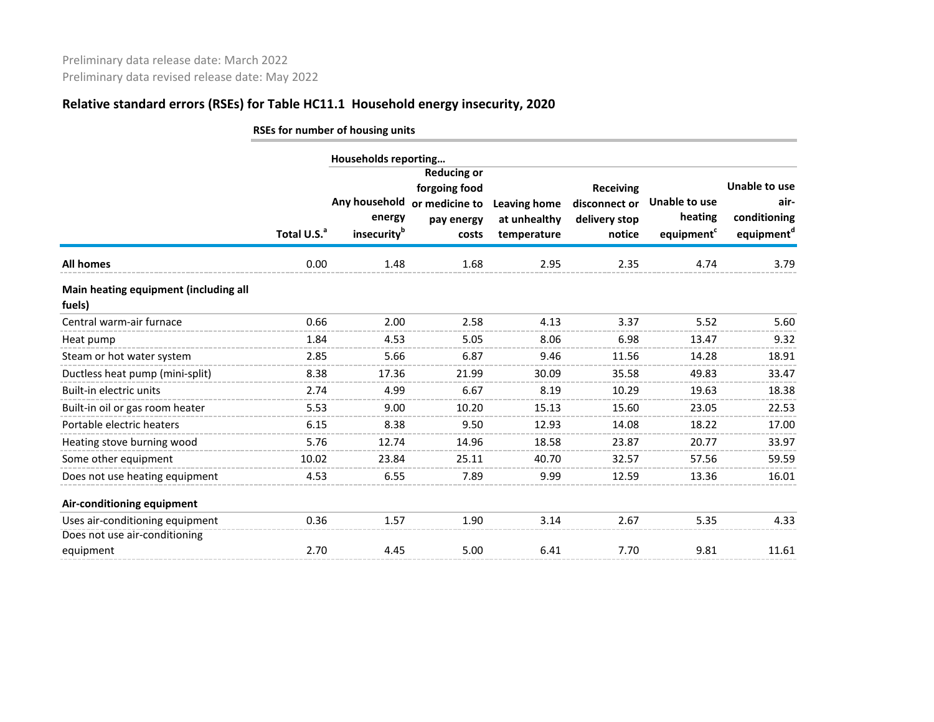|                                                 | RSEs for number of housing units |                                                                            |                                                                              |                                                    |                                                              |                                                    |                                                                 |  |  |  |
|-------------------------------------------------|----------------------------------|----------------------------------------------------------------------------|------------------------------------------------------------------------------|----------------------------------------------------|--------------------------------------------------------------|----------------------------------------------------|-----------------------------------------------------------------|--|--|--|
|                                                 |                                  |                                                                            |                                                                              |                                                    |                                                              |                                                    |                                                                 |  |  |  |
|                                                 | Total U.S. <sup>a</sup>          | Households reporting<br>Any household<br>energy<br>insecurity <sup>b</sup> | <b>Reducing or</b><br>forgoing food<br>or medicine to<br>pay energy<br>costs | <b>Leaving home</b><br>at unhealthy<br>temperature | <b>Receiving</b><br>disconnect or<br>delivery stop<br>notice | Unable to use<br>heating<br>equipment <sup>c</sup> | Unable to use<br>air-<br>conditioning<br>equipment <sup>d</sup> |  |  |  |
| <b>All homes</b>                                | 0.00                             | 1.48                                                                       | 1.68                                                                         | 2.95                                               | 2.35                                                         | 4.74                                               | 3.79                                                            |  |  |  |
| Main heating equipment (including all<br>fuels) |                                  |                                                                            |                                                                              |                                                    |                                                              |                                                    |                                                                 |  |  |  |
| Central warm-air furnace                        | 0.66                             | 2.00                                                                       | 2.58                                                                         | 4.13                                               | 3.37                                                         | 5.52                                               | 5.60                                                            |  |  |  |
| Heat pump                                       | 1.84                             | 4.53                                                                       | 5.05                                                                         | 8.06                                               | 6.98                                                         | 13.47                                              | 9.32                                                            |  |  |  |
| Steam or hot water system                       | 2.85                             | 5.66                                                                       | 6.87                                                                         | 9.46                                               | 11.56                                                        | 14.28                                              | 18.91                                                           |  |  |  |
| Ductless heat pump (mini-split)                 | 8.38                             | 17.36                                                                      | 21.99                                                                        | 30.09                                              | 35.58                                                        | 49.83                                              | 33.47                                                           |  |  |  |
| Built-in electric units                         | 2.74                             | 4.99                                                                       | 6.67                                                                         | 8.19                                               | 10.29                                                        | 19.63                                              | 18.38                                                           |  |  |  |
| Built-in oil or gas room heater                 | 5.53                             | 9.00                                                                       | 10.20                                                                        | 15.13                                              | 15.60                                                        | 23.05                                              | 22.53                                                           |  |  |  |
| Portable electric heaters                       | 6.15                             | 8.38                                                                       | 9.50                                                                         | 12.93                                              | 14.08                                                        | 18.22                                              | 17.00                                                           |  |  |  |
| Heating stove burning wood                      | 5.76                             | 12.74                                                                      | 14.96                                                                        | 18.58                                              | 23.87                                                        | 20.77                                              | 33.97                                                           |  |  |  |
| Some other equipment                            | 10.02                            | 23.84                                                                      | 25.11                                                                        | 40.70                                              | 32.57                                                        | 57.56                                              | 59.59                                                           |  |  |  |
| Does not use heating equipment                  | 4.53                             | 6.55                                                                       | 7.89                                                                         | 9.99                                               | 12.59                                                        | 13.36                                              | 16.01                                                           |  |  |  |
| Air-conditioning equipment                      |                                  |                                                                            |                                                                              |                                                    |                                                              |                                                    |                                                                 |  |  |  |
| Uses air-conditioning equipment                 | 0.36                             | 1.57                                                                       | 1.90                                                                         | 3.14                                               | 2.67                                                         | 5.35                                               | 4.33                                                            |  |  |  |
| Does not use air-conditioning                   |                                  |                                                                            |                                                                              |                                                    |                                                              |                                                    |                                                                 |  |  |  |
| equipment                                       | 2.70                             | 4.45                                                                       | 5.00                                                                         | 6.41                                               | 7.70                                                         | 9.81                                               | 11.61                                                           |  |  |  |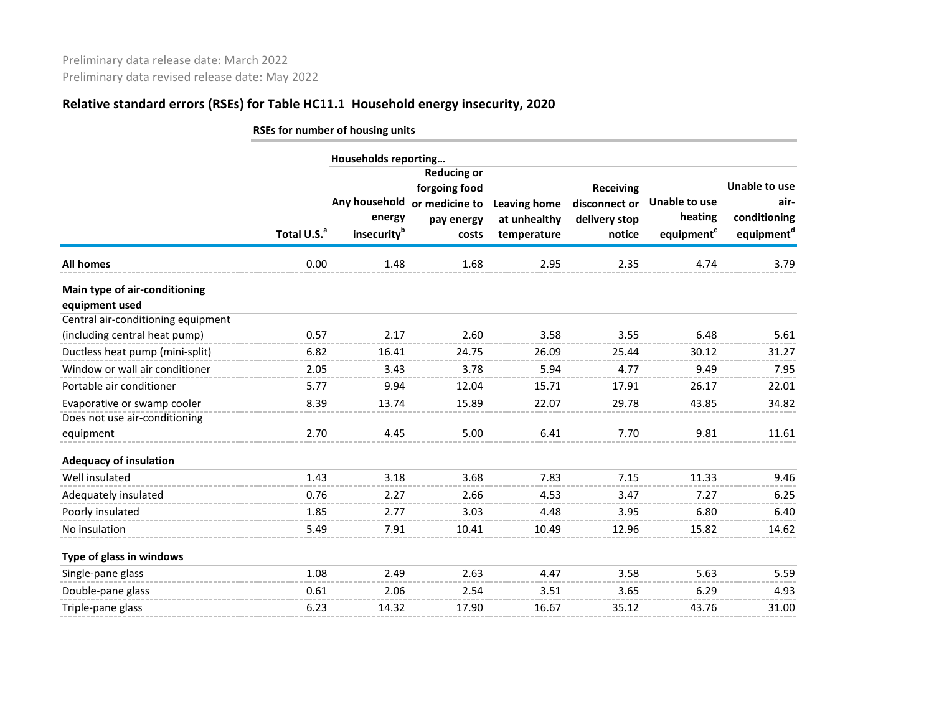|                                                 | RSEs for number of housing units |                                        |                                                                              |                                                    |                                                              |                                                    |                                                                        |  |  |  |
|-------------------------------------------------|----------------------------------|----------------------------------------|------------------------------------------------------------------------------|----------------------------------------------------|--------------------------------------------------------------|----------------------------------------------------|------------------------------------------------------------------------|--|--|--|
|                                                 |                                  | Households reporting                   |                                                                              |                                                    |                                                              |                                                    |                                                                        |  |  |  |
|                                                 | Total U.S. <sup>a</sup>          | Any household<br>energy<br>insecurityb | <b>Reducing or</b><br>forgoing food<br>or medicine to<br>pay energy<br>costs | <b>Leaving home</b><br>at unhealthy<br>temperature | <b>Receiving</b><br>disconnect or<br>delivery stop<br>notice | Unable to use<br>heating<br>equipment <sup>c</sup> | <b>Unable to use</b><br>air-<br>conditioning<br>equipment <sup>d</sup> |  |  |  |
| <b>All homes</b>                                | 0.00                             | 1.48                                   | 1.68                                                                         | 2.95                                               | 2.35                                                         | 4.74                                               | 3.79                                                                   |  |  |  |
| Main type of air-conditioning<br>equipment used |                                  |                                        |                                                                              |                                                    |                                                              |                                                    |                                                                        |  |  |  |
| Central air-conditioning equipment              |                                  |                                        |                                                                              |                                                    |                                                              |                                                    |                                                                        |  |  |  |
| (including central heat pump)                   | 0.57                             | 2.17                                   | 2.60                                                                         | 3.58                                               | 3.55                                                         | 6.48                                               | 5.61                                                                   |  |  |  |
| Ductless heat pump (mini-split)                 | 6.82                             | 16.41                                  | 24.75                                                                        | 26.09                                              | 25.44                                                        | 30.12                                              | 31.27                                                                  |  |  |  |
| Window or wall air conditioner                  | 2.05                             | 3.43                                   | 3.78                                                                         | 5.94                                               | 4.77                                                         | 9.49                                               | 7.95                                                                   |  |  |  |
| Portable air conditioner                        | 5.77                             | 9.94                                   | 12.04                                                                        | 15.71                                              | 17.91                                                        | 26.17                                              | 22.01                                                                  |  |  |  |
| Evaporative or swamp cooler                     | 8.39                             | 13.74                                  | 15.89                                                                        | 22.07                                              | 29.78                                                        | 43.85                                              | 34.82                                                                  |  |  |  |
| Does not use air-conditioning                   |                                  |                                        |                                                                              |                                                    |                                                              |                                                    |                                                                        |  |  |  |
| equipment                                       | 2.70                             | 4.45                                   | 5.00                                                                         | 6.41                                               | 7.70                                                         | 9.81                                               | 11.61                                                                  |  |  |  |
| <b>Adequacy of insulation</b>                   |                                  |                                        |                                                                              |                                                    |                                                              |                                                    |                                                                        |  |  |  |
| Well insulated                                  | 1.43                             | 3.18                                   | 3.68                                                                         | 7.83                                               | 7.15                                                         | 11.33                                              | 9.46                                                                   |  |  |  |
| Adequately insulated                            | 0.76                             | 2.27                                   | 2.66                                                                         | 4.53                                               | 3.47                                                         | 7.27                                               | 6.25                                                                   |  |  |  |
| Poorly insulated                                | 1.85                             | 2.77                                   | 3.03                                                                         | 4.48                                               | 3.95                                                         | 6.80                                               | 6.40                                                                   |  |  |  |
| No insulation                                   | 5.49                             | 7.91                                   | 10.41                                                                        | 10.49                                              | 12.96                                                        | 15.82                                              | 14.62                                                                  |  |  |  |
| Type of glass in windows                        |                                  |                                        |                                                                              |                                                    |                                                              |                                                    |                                                                        |  |  |  |
| Single-pane glass                               | 1.08                             | 2.49                                   | 2.63                                                                         | 4.47                                               | 3.58                                                         | 5.63                                               | 5.59                                                                   |  |  |  |
| Double-pane glass                               | 0.61                             | 2.06                                   | 2.54                                                                         | 3.51                                               | 3.65                                                         | 6.29                                               | 4.93                                                                   |  |  |  |
| Triple-pane glass                               | 6.23                             | 14.32                                  | 17.90                                                                        | 16.67                                              | 35.12                                                        | 43.76                                              | 31.00                                                                  |  |  |  |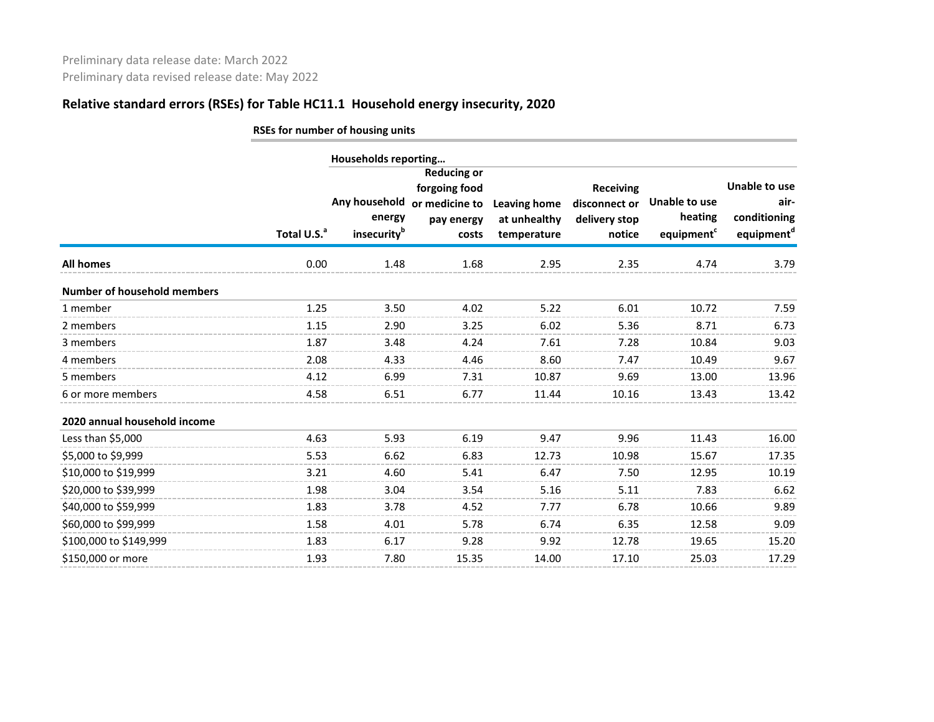|                                    |                         | RSEs for number of housing units                   |                                                                              |                                                    |                                                              |                                                    |                                                                        |
|------------------------------------|-------------------------|----------------------------------------------------|------------------------------------------------------------------------------|----------------------------------------------------|--------------------------------------------------------------|----------------------------------------------------|------------------------------------------------------------------------|
|                                    |                         | Households reporting                               |                                                                              |                                                    |                                                              |                                                    |                                                                        |
|                                    | Total U.S. <sup>a</sup> | Any household<br>energy<br>insecurity <sup>b</sup> | <b>Reducing or</b><br>forgoing food<br>or medicine to<br>pay energy<br>costs | <b>Leaving home</b><br>at unhealthy<br>temperature | <b>Receiving</b><br>disconnect or<br>delivery stop<br>notice | Unable to use<br>heating<br>equipment <sup>c</sup> | <b>Unable to use</b><br>air-<br>conditioning<br>equipment <sup>d</sup> |
| <b>All homes</b>                   | 0.00                    | 1.48                                               | 1.68                                                                         | 2.95                                               | 2.35                                                         | 4.74                                               | 3.79                                                                   |
| <b>Number of household members</b> |                         |                                                    |                                                                              |                                                    |                                                              |                                                    |                                                                        |
| 1 member                           | 1.25                    | 3.50                                               | 4.02                                                                         | 5.22                                               | 6.01                                                         | 10.72                                              | 7.59                                                                   |
| 2 members                          | 1.15                    | 2.90                                               | 3.25                                                                         | 6.02                                               | 5.36                                                         | 8.71                                               | 6.73                                                                   |
| 3 members                          | 1.87                    | 3.48                                               | 4.24                                                                         | 7.61                                               | 7.28                                                         | 10.84                                              | 9.03                                                                   |
| 4 members                          | 2.08                    | 4.33                                               | 4.46                                                                         | 8.60                                               | 7.47                                                         | 10.49                                              | 9.67                                                                   |
| 5 members                          | 4.12                    | 6.99                                               | 7.31                                                                         | 10.87                                              | 9.69                                                         | 13.00                                              | 13.96                                                                  |
| 6 or more members                  | 4.58                    | 6.51                                               | 6.77                                                                         | 11.44                                              | 10.16                                                        | 13.43                                              | 13.42                                                                  |
| 2020 annual household income       |                         |                                                    |                                                                              |                                                    |                                                              |                                                    |                                                                        |
| Less than \$5,000                  | 4.63                    | 5.93                                               | 6.19                                                                         | 9.47                                               | 9.96                                                         | 11.43                                              | 16.00                                                                  |
| \$5,000 to \$9,999                 | 5.53                    | 6.62                                               | 6.83                                                                         | 12.73                                              | 10.98                                                        | 15.67                                              | 17.35                                                                  |
| \$10,000 to \$19,999               | 3.21                    | 4.60                                               | 5.41                                                                         | 6.47                                               | 7.50                                                         | 12.95                                              | 10.19                                                                  |
| \$20,000 to \$39,999               | 1.98                    | 3.04                                               | 3.54                                                                         | 5.16                                               | 5.11                                                         | 7.83                                               | 6.62                                                                   |
| \$40,000 to \$59,999               | 1.83                    | 3.78                                               | 4.52                                                                         | 7.77                                               | 6.78                                                         | 10.66                                              | 9.89                                                                   |
| \$60,000 to \$99,999               | 1.58                    | 4.01                                               | 5.78                                                                         | 6.74                                               | 6.35                                                         | 12.58                                              | 9.09                                                                   |
| \$100,000 to \$149,999             | 1.83                    | 6.17                                               | 9.28                                                                         | 9.92                                               | 12.78                                                        | 19.65                                              | 15.20                                                                  |
| \$150,000 or more                  | 1.93                    | 7.80                                               | 15.35                                                                        | 14.00                                              | 17.10                                                        | 25.03                                              | 17.29                                                                  |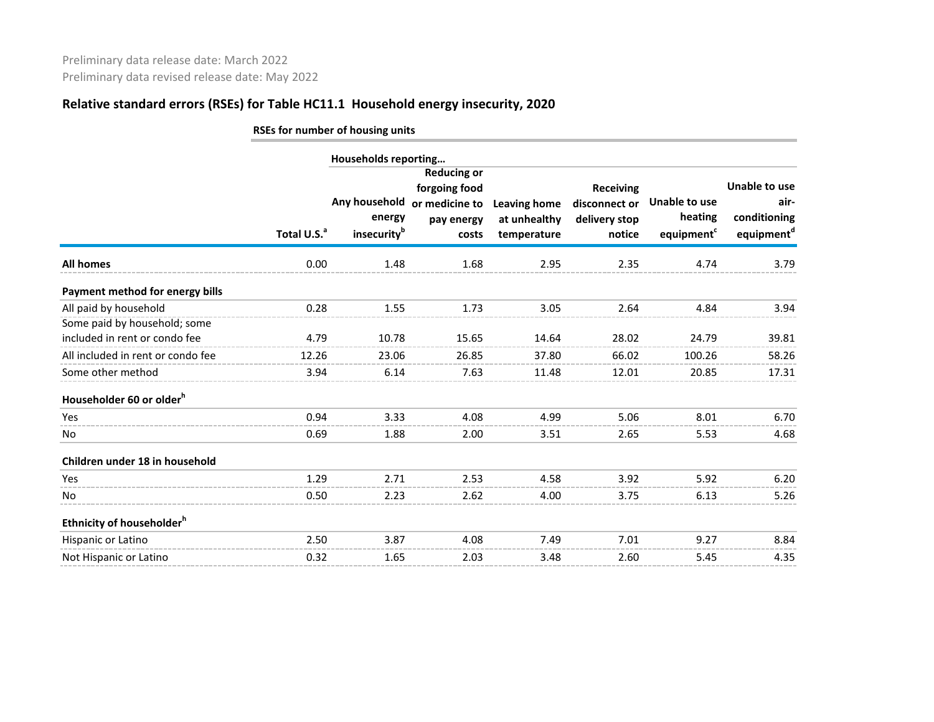|                                                       |                         | RSEs for number of housing units                   |                                                                              |                                                    |                                                              |                                                           |                                                                        |  |  |  |  |
|-------------------------------------------------------|-------------------------|----------------------------------------------------|------------------------------------------------------------------------------|----------------------------------------------------|--------------------------------------------------------------|-----------------------------------------------------------|------------------------------------------------------------------------|--|--|--|--|
|                                                       | Households reporting    |                                                    |                                                                              |                                                    |                                                              |                                                           |                                                                        |  |  |  |  |
|                                                       | Total U.S. <sup>a</sup> | Any household<br>energy<br>insecurity <sup>b</sup> | <b>Reducing or</b><br>forgoing food<br>or medicine to<br>pay energy<br>costs | <b>Leaving home</b><br>at unhealthy<br>temperature | <b>Receiving</b><br>disconnect or<br>delivery stop<br>notice | <b>Unable to use</b><br>heating<br>equipment <sup>c</sup> | <b>Unable to use</b><br>air-<br>conditioning<br>equipment <sup>d</sup> |  |  |  |  |
| <b>All homes</b>                                      | 0.00                    | 1.48                                               | 1.68                                                                         | 2.95                                               | 2.35                                                         | 4.74                                                      | 3.79                                                                   |  |  |  |  |
| Payment method for energy bills                       |                         |                                                    |                                                                              |                                                    |                                                              |                                                           |                                                                        |  |  |  |  |
| All paid by household<br>Some paid by household; some | 0.28                    | 1.55                                               | 1.73                                                                         | 3.05                                               | 2.64                                                         | 4.84                                                      | 3.94                                                                   |  |  |  |  |
| included in rent or condo fee                         | 4.79                    | 10.78                                              | 15.65                                                                        | 14.64                                              | 28.02                                                        | 24.79                                                     | 39.81                                                                  |  |  |  |  |
| All included in rent or condo fee                     | 12.26                   | 23.06                                              | 26.85                                                                        | 37.80                                              | 66.02                                                        | 100.26                                                    | 58.26                                                                  |  |  |  |  |
| Some other method                                     | 3.94                    | 6.14                                               | 7.63                                                                         | 11.48                                              | 12.01                                                        | 20.85                                                     | 17.31                                                                  |  |  |  |  |
| Householder 60 or older <sup>h</sup>                  |                         |                                                    |                                                                              |                                                    |                                                              |                                                           |                                                                        |  |  |  |  |
| Yes                                                   | 0.94                    | 3.33                                               | 4.08                                                                         | 4.99                                               | 5.06                                                         | 8.01                                                      | 6.70                                                                   |  |  |  |  |
| No                                                    | 0.69                    | 1.88                                               | 2.00                                                                         | 3.51                                               | 2.65                                                         | 5.53                                                      | 4.68                                                                   |  |  |  |  |
| Children under 18 in household                        |                         |                                                    |                                                                              |                                                    |                                                              |                                                           |                                                                        |  |  |  |  |
| Yes                                                   | 1.29                    | 2.71                                               | 2.53                                                                         | 4.58                                               | 3.92                                                         | 5.92                                                      | 6.20                                                                   |  |  |  |  |
| No                                                    | 0.50                    | 2.23                                               | 2.62                                                                         | 4.00                                               | 3.75                                                         | 6.13                                                      | 5.26                                                                   |  |  |  |  |
| Ethnicity of householder <sup>h</sup>                 |                         |                                                    |                                                                              |                                                    |                                                              |                                                           |                                                                        |  |  |  |  |
| Hispanic or Latino                                    | 2.50                    | 3.87                                               | 4.08                                                                         | 7.49                                               | 7.01                                                         | 9.27                                                      | 8.84                                                                   |  |  |  |  |
| Not Hispanic or Latino                                | 0.32                    | 1.65                                               | 2.03                                                                         | 3.48                                               | 2.60                                                         | 5.45                                                      | 4.35                                                                   |  |  |  |  |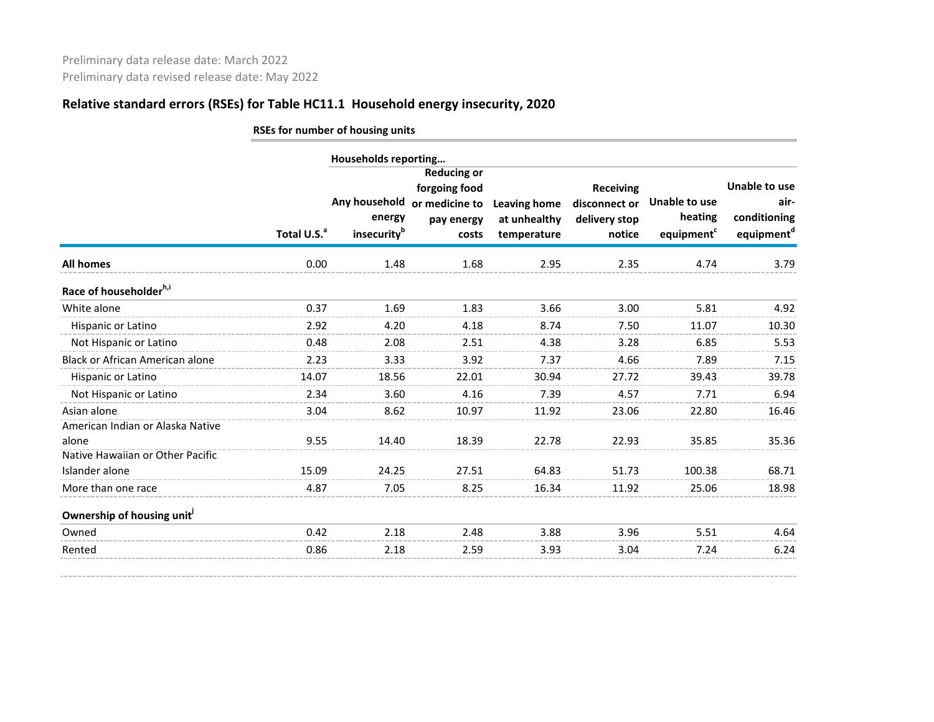|                                                 | RSEs for number of housing units |                                                    |                                                                              |                                                    |                                                              |                                                    |                                                                        |  |  |  |  |
|-------------------------------------------------|----------------------------------|----------------------------------------------------|------------------------------------------------------------------------------|----------------------------------------------------|--------------------------------------------------------------|----------------------------------------------------|------------------------------------------------------------------------|--|--|--|--|
|                                                 |                                  | Households reporting                               |                                                                              |                                                    |                                                              |                                                    |                                                                        |  |  |  |  |
|                                                 | Total U.S. <sup>a</sup>          | Any household<br>energy<br>insecurity <sup>b</sup> | <b>Reducing or</b><br>forgoing food<br>or medicine to<br>pay energy<br>costs | <b>Leaving home</b><br>at unhealthy<br>temperature | <b>Receiving</b><br>disconnect or<br>delivery stop<br>notice | Unable to use<br>heating<br>equipment <sup>c</sup> | <b>Unable to use</b><br>air-<br>conditioning<br>equipment <sup>d</sup> |  |  |  |  |
| All homes                                       | 0.00                             | 1.48                                               | 1.68                                                                         | 2.95                                               | 2.35                                                         | 4.74                                               | 3.79                                                                   |  |  |  |  |
| Race of householderh,i                          |                                  |                                                    |                                                                              |                                                    |                                                              |                                                    |                                                                        |  |  |  |  |
| White alone                                     | 0.37                             | 1.69                                               | 1.83                                                                         | 3.66                                               | 3.00                                                         | 5.81                                               | 4.92                                                                   |  |  |  |  |
| Hispanic or Latino                              | 2.92                             | 4.20                                               | 4.18                                                                         | 8.74                                               | 7.50                                                         | 11.07                                              | 10.30                                                                  |  |  |  |  |
| Not Hispanic or Latino                          | 0.48                             | 2.08                                               | 2.51                                                                         | 4.38                                               | 3.28                                                         | 6.85                                               | 5.53                                                                   |  |  |  |  |
| Black or African American alone                 | 2.23                             | 3.33                                               | 3.92                                                                         | 7.37                                               | 4.66                                                         | 7.89                                               | 7.15                                                                   |  |  |  |  |
| Hispanic or Latino                              | 14.07                            | 18.56                                              | 22.01                                                                        | 30.94                                              | 27.72                                                        | 39.43                                              | 39.78                                                                  |  |  |  |  |
| Not Hispanic or Latino                          | 2.34                             | 3.60                                               | 4.16                                                                         | 7.39                                               | 4.57                                                         | 7.71                                               | 6.94                                                                   |  |  |  |  |
| Asian alone<br>American Indian or Alaska Native | 3.04                             | 8.62                                               | 10.97                                                                        | 11.92                                              | 23.06                                                        | 22.80                                              | 16.46                                                                  |  |  |  |  |
| alone                                           | 9.55                             | 14.40                                              | 18.39                                                                        | 22.78                                              | 22.93                                                        | 35.85                                              | 35.36                                                                  |  |  |  |  |
| Native Hawaiian or Other Pacific                |                                  |                                                    |                                                                              |                                                    |                                                              |                                                    |                                                                        |  |  |  |  |
| Islander alone                                  | 15.09                            | 24.25                                              | 27.51                                                                        | 64.83                                              | 51.73                                                        | 100.38                                             | 68.71                                                                  |  |  |  |  |
| More than one race                              | 4.87                             | 7.05                                               | 8.25                                                                         | 16.34                                              | 11.92                                                        | 25.06                                              | 18.98                                                                  |  |  |  |  |
| Ownership of housing unit <sup>j</sup>          |                                  |                                                    |                                                                              |                                                    |                                                              |                                                    |                                                                        |  |  |  |  |
| Owned                                           | 0.42                             | 2.18                                               | 2.48                                                                         | 3.88                                               | 3.96                                                         | 5.51                                               | 4.64                                                                   |  |  |  |  |
| Rented                                          | 0.86                             | 2.18                                               | 2.59                                                                         | 3.93                                               | 3.04                                                         | 7.24                                               | 6.24                                                                   |  |  |  |  |